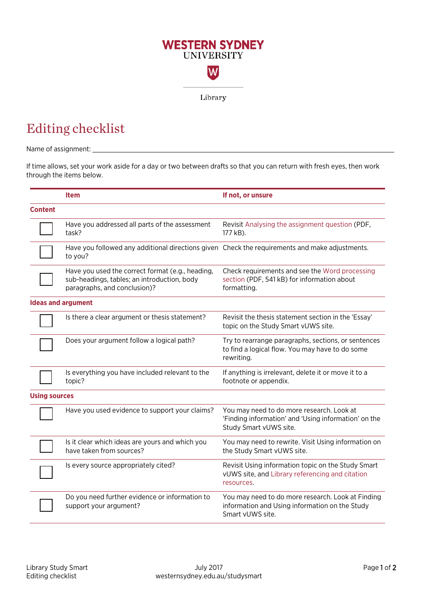

## Editing checklist

Name of assignment: \_\_\_\_\_\_\_\_\_\_\_\_\_\_\_\_\_\_\_\_\_\_\_\_\_\_\_\_\_\_\_\_\_\_\_\_\_\_\_\_\_\_\_\_\_\_\_\_\_\_\_\_\_\_\_\_\_\_\_\_\_\_\_\_\_\_\_\_\_\_\_\_\_\_\_\_

If time allows, set your work aside for a day or two between drafts so that you can return with fresh eyes, then work through the items below.

|                           | <b>Item</b>                                                                                                                     | If not, or unsure                                                                                                           |  |
|---------------------------|---------------------------------------------------------------------------------------------------------------------------------|-----------------------------------------------------------------------------------------------------------------------------|--|
| <b>Content</b>            |                                                                                                                                 |                                                                                                                             |  |
|                           | Have you addressed all parts of the assessment<br>task?                                                                         | Revisit Analysing the assignment question (PDF,<br>177 kB).                                                                 |  |
|                           | Have you followed any additional directions given Check the requirements and make adjustments.<br>to you?                       |                                                                                                                             |  |
|                           | Have you used the correct format (e.g., heading,<br>sub-headings, tables; an introduction, body<br>paragraphs, and conclusion)? | Check requirements and see the Word processing<br>section (PDF, 541 kB) for information about<br>formatting.                |  |
| <b>Ideas and argument</b> |                                                                                                                                 |                                                                                                                             |  |
|                           | Is there a clear argument or thesis statement?                                                                                  | Revisit the thesis statement section in the 'Essay'<br>topic on the Study Smart vUWS site.                                  |  |
|                           | Does your argument follow a logical path?                                                                                       | Try to rearrange paragraphs, sections, or sentences<br>to find a logical flow. You may have to do some<br>rewriting.        |  |
|                           | Is everything you have included relevant to the<br>topic?                                                                       | If anything is irrelevant, delete it or move it to a<br>footnote or appendix.                                               |  |
| <b>Using sources</b>      |                                                                                                                                 |                                                                                                                             |  |
|                           | Have you used evidence to support your claims?                                                                                  | You may need to do more research. Look at<br>'Finding information' and 'Using information' on the<br>Study Smart vUWS site. |  |
|                           | Is it clear which ideas are yours and which you<br>have taken from sources?                                                     | You may need to rewrite. Visit Using information on<br>the Study Smart vUWS site.                                           |  |
|                           | Is every source appropriately cited?                                                                                            | Revisit Using information topic on the Study Smart<br>vUWS site, and Library referencing and citation<br>resources.         |  |
|                           | Do you need further evidence or information to<br>support your argument?                                                        | You may need to do more research. Look at Finding<br>information and Using information on the Study<br>Smart vUWS site.     |  |